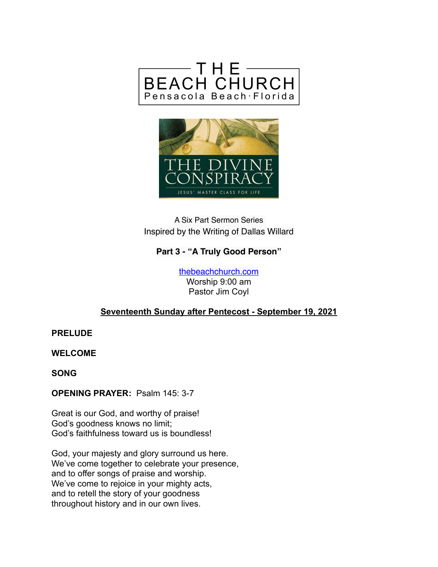



## A Six Part Sermon Series Inspired by the Writing of Dallas Willard

## **Part 3 - "A Truly Good Person"**

[thebeachchurch.com](http://thebeachchurch.com) Worship 9:00 am Pastor Jim Coyl

### **Seventeenth Sunday after Pentecost - September 19, 2021**

**PRELUDE**

**WELCOME**

**SONG**

**OPENING PRAYER:** Psalm 145: 3-7

Great is our God, and worthy of praise! God's goodness knows no limit; God's faithfulness toward us is boundless!

God, your majesty and glory surround us here. We've come together to celebrate your presence, and to offer songs of praise and worship. We've come to rejoice in your mighty acts, and to retell the story of your goodness throughout history and in our own lives.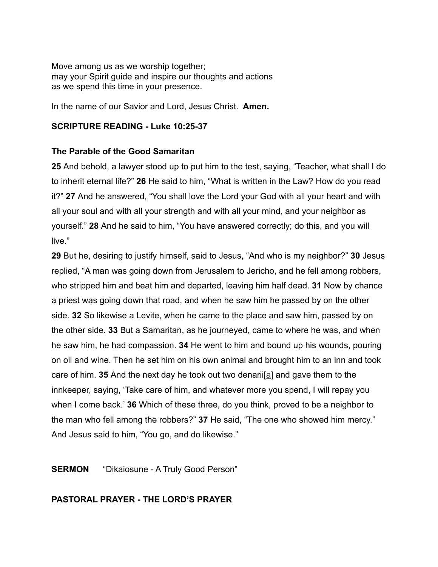Move among us as we worship together; may your Spirit guide and inspire our thoughts and actions as we spend this time in your presence.

In the name of our Savior and Lord, Jesus Christ. **Amen.**

#### **SCRIPTURE READING - Luke 10:25-37**

#### **The Parable of the Good Samaritan**

**25** And behold, a lawyer stood up to put him to the test, saying, "Teacher, what shall I do to inherit eternal life?" **26** He said to him, "What is written in the Law? How do you read it?" **27** And he answered, "You shall love the Lord your God with all your heart and with all your soul and with all your strength and with all your mind, and your neighbor as yourself." **28** And he said to him, "You have answered correctly; do this, and you will live."

**29** But he, desiring to justify himself, said to Jesus, "And who is my neighbor?" **30** Jesus replied, "A man was going down from Jerusalem to Jericho, and he fell among robbers, who stripped him and beat him and departed, leaving him half dead. **31** Now by chance a priest was going down that road, and when he saw him he passed by on the other side. **32** So likewise a Levite, when he came to the place and saw him, passed by on the other side. **33** But a Samaritan, as he journeyed, came to where he was, and when he saw him, he had compassion. **34** He went to him and bound up his wounds, pouring on oil and wine. Then he set him on his own animal and brought him to an inn and took care of him. **35** And the next day he took out two denarii[a] and gave them to the innkeeper, saying, 'Take care of him, and whatever more you spend, I will repay you when I come back.' **36** Which of these three, do you think, proved to be a neighbor to the man who fell among the robbers?" **37** He said, "The one who showed him mercy." And Jesus said to him, "You go, and do likewise."

#### **SERMON** "Dikaiosune - A Truly Good Person"

#### **PASTORAL PRAYER - THE LORD'S PRAYER**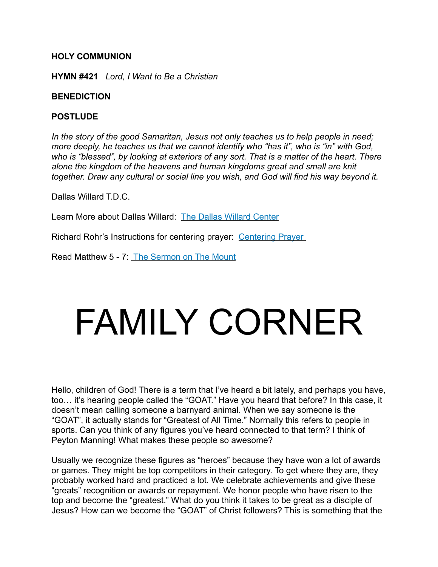#### **HOLY COMMUNION**

**HYMN #421** *Lord, I Want to Be a Christian* 

#### **BENEDICTION**

#### **POSTLUDE**

*In the story of the good Samaritan, Jesus not only teaches us to help people in need; more deeply, he teaches us that we cannot identify who "has it", who is "in" with God, who is "blessed", by looking at exteriors of any sort. That is a matter of the heart. There alone the kingdom of the heavens and human kingdoms great and small are knit together. Draw any cultural or social line you wish, and God will find his way beyond it.*

Dallas Willard T.D.C.

Learn More about Dallas Willard: [The Dallas Willard Center](https://dallaswillardcenter.com/about/)

Richard Rohr's Instructions for centering prayer: [Centering Prayer](https://www.lindsayboyer.com/richard-rohr) 

Read Matthew 5 - 7: [The Sermon on The Mount](https://www.bible.com/bible/2016/MAT.5.NRSV)

# FAMILY CORNER

Hello, children of God! There is a term that I've heard a bit lately, and perhaps you have, too… it's hearing people called the "GOAT." Have you heard that before? In this case, it doesn't mean calling someone a barnyard animal. When we say someone is the "GOAT", it actually stands for "Greatest of All Time." Normally this refers to people in sports. Can you think of any figures you've heard connected to that term? I think of Peyton Manning! What makes these people so awesome?

Usually we recognize these figures as "heroes" because they have won a lot of awards or games. They might be top competitors in their category. To get where they are, they probably worked hard and practiced a lot. We celebrate achievements and give these "greats" recognition or awards or repayment. We honor people who have risen to the top and become the "greatest." What do you think it takes to be great as a disciple of Jesus? How can we become the "GOAT" of Christ followers? This is something that the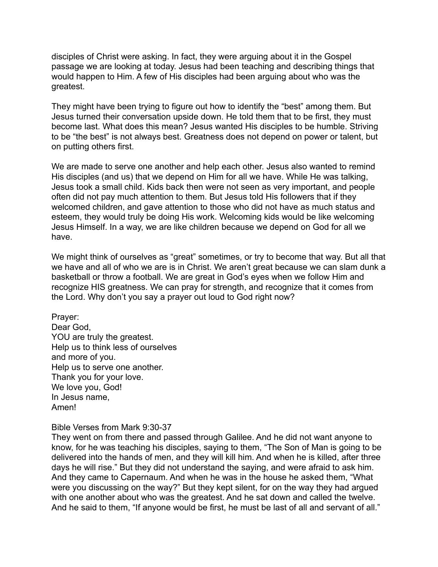disciples of Christ were asking. In fact, they were arguing about it in the Gospel passage we are looking at today. Jesus had been teaching and describing things that would happen to Him. A few of His disciples had been arguing about who was the greatest.

They might have been trying to figure out how to identify the "best" among them. But Jesus turned their conversation upside down. He told them that to be first, they must become last. What does this mean? Jesus wanted His disciples to be humble. Striving to be "the best" is not always best. Greatness does not depend on power or talent, but on putting others first.

We are made to serve one another and help each other. Jesus also wanted to remind His disciples (and us) that we depend on Him for all we have. While He was talking, Jesus took a small child. Kids back then were not seen as very important, and people often did not pay much attention to them. But Jesus told His followers that if they welcomed children, and gave attention to those who did not have as much status and esteem, they would truly be doing His work. Welcoming kids would be like welcoming Jesus Himself. In a way, we are like children because we depend on God for all we have.

We might think of ourselves as "great" sometimes, or try to become that way. But all that we have and all of who we are is in Christ. We aren't great because we can slam dunk a basketball or throw a football. We are great in God's eyes when we follow Him and recognize HIS greatness. We can pray for strength, and recognize that it comes from the Lord. Why don't you say a prayer out loud to God right now?

Prayer: Dear God, YOU are truly the greatest. Help us to think less of ourselves and more of you. Help us to serve one another. Thank you for your love. We love you, God! In Jesus name, Amen!

#### Bible Verses from Mark 9:30-37

They went on from there and passed through Galilee. And he did not want anyone to know, for he was teaching his disciples, saying to them, "The Son of Man is going to be delivered into the hands of men, and they will kill him. And when he is killed, after three days he will rise." But they did not understand the saying, and were afraid to ask him. And they came to Capernaum. And when he was in the house he asked them, "What were you discussing on the way?" But they kept silent, for on the way they had argued with one another about who was the greatest. And he sat down and called the twelve. And he said to them, "If anyone would be first, he must be last of all and servant of all."